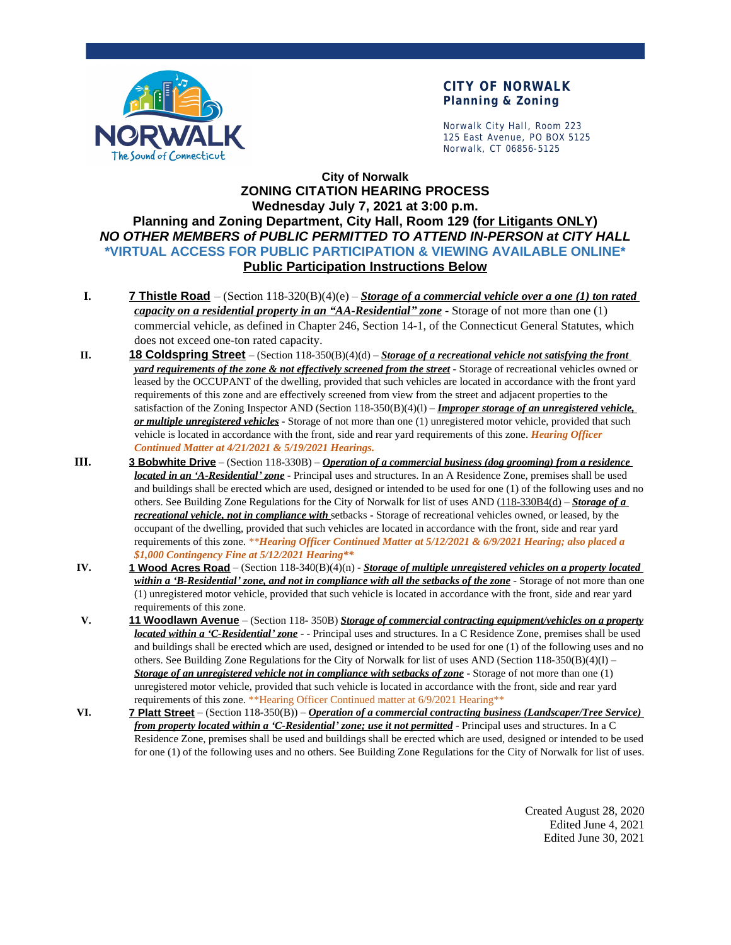

## **CITY OF NORWALK Planning & Zoning**

Norwalk City Hall, Room 223 125 East Avenue, PO BOX 5125 Norwalk, CT 06856-5125

## **City of Norwalk ZONING CITATION HEARING PROCESS Wednesday July 7, 2021 at 3:00 p.m. Planning and Zoning Department, City Hall, Room 129 (for Litigants ONLY)** *NO OTHER MEMBERS of PUBLIC PERMITTED TO ATTEND IN-PERSON at CITY HALL* **\*VIRTUAL ACCESS FOR PUBLIC PARTICIPATION & VIEWING AVAILABLE ONLINE\* Public Participation Instructions Below**

- **I. 7 Thistle Road** (Section 118-320(B)(4)(e) *Storage of a commercial vehicle over a one (1) ton rated capacity on a residential property in an "AA-Residential" zone* - Storage of not more than one (1) commercial vehicle, as defined in Chapter 246, Section 14-1, of the Connecticut General Statutes, which does not exceed one-ton rated capacity.
- **II. 18 Coldspring Street** (Section 118-350(B)(4)(d) *Storage of a recreational vehicle not satisfying the front yard requirements of the zone & not effectively screened from the street* - Storage of recreational vehicles owned or leased by the OCCUPANT of the dwelling, provided that such vehicles are located in accordance with the front yard requirements of this zone and are effectively screened from view from the street and adjacent properties to the satisfaction of the Zoning Inspector AND (Section 118-350(B)(4)(l) – *Improper storage of an unregistered vehicle, or multiple unregistered vehicles* - Storage of not more than one (1) unregistered motor vehicle, provided that such vehicle is located in accordance with the front, side and rear yard requirements of this zone. *Hearing Officer Continued Matter at 4/21/2021 & 5/19/2021 Hearings.*
- **III. 3 Bobwhite Drive** (Section 118-330B) *Operation of a commercial business (dog grooming) from a residence located in an 'A-Residential' zone* - Principal uses and structures. In an A Residence Zone, premises shall be used and buildings shall be erected which are used, designed or intended to be used for one (1) of the following uses and no others. See Building Zone Regulations for the City of Norwalk for list of uses AND (118-330B4(d) – *Storage of a recreational vehicle, not in compliance with* setbacks - Storage of recreational vehicles owned, or leased, by the occupant of the dwelling, provided that such vehicles are located in accordance with the front, side and rear yard requirements of this zone. *\*\*Hearing Officer Continued Matter at 5/12/2021 & 6/9/2021 Hearing; also placed a \$1,000 Contingency Fine at 5/12/2021 Hearing\*\**
- **IV. 1 Wood Acres Road** (Section 118-340(B)(4)(n) *Storage of multiple unregistered vehicles on a property located within a 'B-Residential' zone, and not in compliance with all the setbacks of the zone* - Storage of not more than one (1) unregistered motor vehicle, provided that such vehicle is located in accordance with the front, side and rear yard requirements of this zone.
- **V. 11 Woodlawn Avenue** (Section 118- 350B) *Storage of commercial contracting equipment/vehicles on a property located within a 'C-Residential' zone* - - Principal uses and structures. In a C Residence Zone, premises shall be used and buildings shall be erected which are used, designed or intended to be used for one (1) of the following uses and no others. See Building Zone Regulations for the City of Norwalk for list of uses AND (Section 118-350(B)(4)(l) – *Storage of an unregistered vehicle not in compliance with setbacks of zone* - Storage of not more than one (1) unregistered motor vehicle, provided that such vehicle is located in accordance with the front, side and rear yard requirements of this zone. \*\*Hearing Officer Continued matter at 6/9/2021 Hearing\*\*
- **VI. 7 Platt Street** (Section 118-350(B)) *Operation of a commercial contracting business (Landscaper/Tree Service) from property located within a 'C-Residential' zone; use it not permitted* - Principal uses and structures. In a C Residence Zone, premises shall be used and buildings shall be erected which are used, designed or intended to be used for one (1) of the following uses and no others. See Building Zone Regulations for the City of Norwalk for list of uses.

Created August 28, 2020 Edited June 4, 2021 Edited June 30, 2021